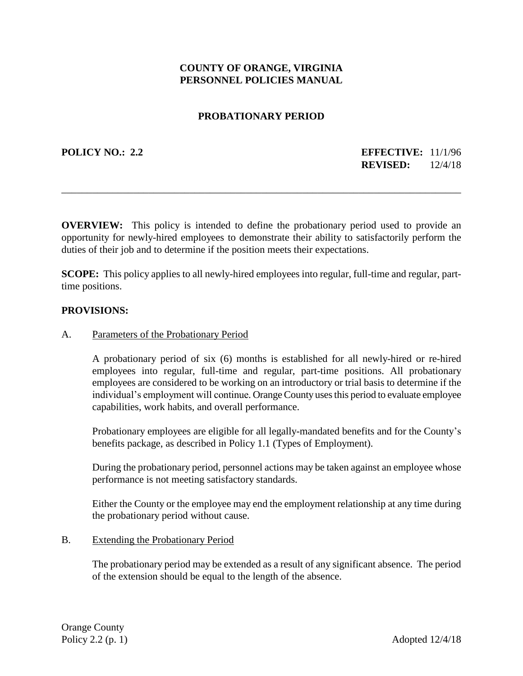# **COUNTY OF ORANGE, VIRGINIA PERSONNEL POLICIES MANUAL**

### **PROBATIONARY PERIOD**

**POLICY NO.: 2.2 EFFECTIVE:** 11/1/96 **REVISED:** 12/4/18

**OVERVIEW:** This policy is intended to define the probationary period used to provide an opportunity for newly-hired employees to demonstrate their ability to satisfactorily perform the duties of their job and to determine if the position meets their expectations.

\_\_\_\_\_\_\_\_\_\_\_\_\_\_\_\_\_\_\_\_\_\_\_\_\_\_\_\_\_\_\_\_\_\_\_\_\_\_\_\_\_\_\_\_\_\_\_\_\_\_\_\_\_\_\_\_\_\_\_\_\_\_\_\_\_\_\_\_\_\_\_\_\_\_\_\_\_\_

**SCOPE:** This policy applies to all newly-hired employees into regular, full-time and regular, parttime positions.

#### **PROVISIONS:**

#### A. Parameters of the Probationary Period

A probationary period of six (6) months is established for all newly-hired or re-hired employees into regular, full-time and regular, part-time positions. All probationary employees are considered to be working on an introductory or trial basis to determine if the individual's employment will continue. Orange County uses this period to evaluate employee capabilities, work habits, and overall performance.

Probationary employees are eligible for all legally-mandated benefits and for the County's benefits package, as described in Policy 1.1 (Types of Employment).

During the probationary period, personnel actions may be taken against an employee whose performance is not meeting satisfactory standards.

Either the County or the employee may end the employment relationship at any time during the probationary period without cause.

#### B. Extending the Probationary Period

The probationary period may be extended as a result of any significant absence. The period of the extension should be equal to the length of the absence.